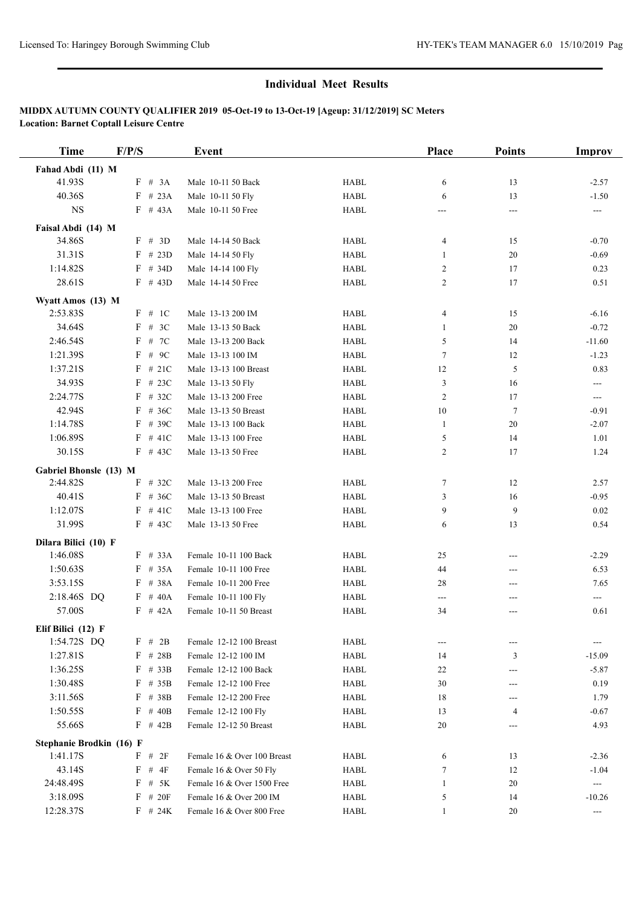| <b>Time</b>              | F/P/S      |            | Event                       |             | <b>Place</b>   | <b>Points</b> | Improv                  |
|--------------------------|------------|------------|-----------------------------|-------------|----------------|---------------|-------------------------|
| Fahad Abdi (11) M        |            |            |                             |             |                |               |                         |
| 41.93S                   |            | F # 3A     | Male 10-11 50 Back          | <b>HABL</b> | 6              | 13            | $-2.57$                 |
| 40.36S                   |            | $F$ # 23A  | Male 10-11 50 Fly           | <b>HABL</b> | 6              | 13            | $-1.50$                 |
| NS                       |            | $F$ # 43A  | Male 10-11 50 Free          | <b>HABL</b> | ---            | ---           | $\qquad \qquad -\qquad$ |
| Faisal Abdi (14) M       |            |            |                             |             |                |               |                         |
| 34.86S                   |            | F # 3D     | Male 14-14 50 Back          | <b>HABL</b> | 4              | 15            | $-0.70$                 |
| 31.31S                   |            | $F$ # 23D  | Male 14-14 50 Fly           | <b>HABL</b> | 1              | 20            | $-0.69$                 |
| 1:14.82S                 |            | $F$ # 34D  | Male 14-14 100 Fly          | <b>HABL</b> | $\overline{c}$ | 17            | 0.23                    |
| 28.61S                   |            | $F$ # 43D  | Male 14-14 50 Free          | <b>HABL</b> | $\overline{c}$ | 17            | 0.51                    |
| Wyatt Amos (13) M        |            |            |                             |             |                |               |                         |
| 2:53.83S                 |            | F # 1C     | Male 13-13 200 IM           | <b>HABL</b> | 4              | 15            | $-6.16$                 |
| 34.64S                   | F          | # $3C$     | Male 13-13 50 Back          | <b>HABL</b> | 1              | $20\,$        | $-0.72$                 |
| 2:46.54S                 | F          | # 7C       | Male 13-13 200 Back         | <b>HABL</b> | 5              | 14            | $-11.60$                |
| 1:21.39S                 | F          | # $9C$     | Male 13-13 100 IM           | <b>HABL</b> | $\tau$         | 12            | $-1.23$                 |
| 1:37.21S                 | F          | #21C       | Male 13-13 100 Breast       | <b>HABL</b> | 12             | 5             | 0.83                    |
| 34.93S                   |            | $F$ # 23C  | Male 13-13 50 Fly           | <b>HABL</b> | 3              | 16            | ---                     |
| 2:24.77S                 |            | $F$ # 32C  | Male 13-13 200 Free         | <b>HABL</b> | $\overline{c}$ | 17            | ---                     |
| 42.94S                   |            | $F$ # 36C  | Male 13-13 50 Breast        | <b>HABL</b> | 10             | $\tau$        | $-0.91$                 |
| 1:14.78S                 | F          | # 39C      | Male 13-13 100 Back         | <b>HABL</b> | $\mathbf{1}$   | 20            | $-2.07$                 |
| 1:06.89S                 |            | $F$ # 41C  | Male 13-13 100 Free         | <b>HABL</b> | 5              | 14            | 1.01                    |
| 30.15S                   |            | $F$ # 43C  | Male 13-13 50 Free          | <b>HABL</b> | $\mathbf{2}$   | 17            | 1.24                    |
| Gabriel Bhonsle (13) M   |            |            |                             |             |                |               |                         |
| 2:44.82S                 |            | $F$ # 32C  | Male 13-13 200 Free         | <b>HABL</b> | 7              | 12            | 2.57                    |
| 40.41S                   |            | $F$ # 36C  | Male 13-13 50 Breast        | <b>HABL</b> | 3              | 16            | $-0.95$                 |
| 1:12.07S                 | F          | # $41C$    | Male 13-13 100 Free         | <b>HABL</b> | 9              | 9             | 0.02                    |
| 31.99S                   |            | $F$ # 43C  | Male 13-13 50 Free          | <b>HABL</b> | 6              | 13            | 0.54                    |
| Dilara Bilici (10) F     |            |            |                             |             |                |               |                         |
| 1:46.08S                 |            | $F$ # 33A  | Female 10-11 100 Back       | <b>HABL</b> | 25             | ---           | $-2.29$                 |
| 1:50.63S                 | F          | # 35A      | Female 10-11 100 Free       | <b>HABL</b> | 44             | ---           | 6.53                    |
| 3:53.15S                 |            | F # 38A    | Female 10-11 200 Free       | <b>HABL</b> | 28             | ---           | 7.65                    |
| 2:18.46S DQ              |            | $F$ # 40A  | Female 10-11 100 Fly        | <b>HABL</b> | $---$          | ---           | ---                     |
| 57.00S                   |            | $F$ # 42A  | Female 10-11 50 Breast      | <b>HABL</b> | 34             | ---           | 0.61                    |
| Elif Bilici (12) F       |            |            |                             |             |                |               |                         |
| 1:54.72S DQ              |            | F # 2B     | Female 12-12 100 Breast     | <b>HABL</b> | ---            | ---           | ---                     |
| 1:27.81S                 |            | F # 28B    | Female 12-12 100 IM         | <b>HABL</b> | 14             | 3             | $-15.09$                |
| 1:36.25S                 |            | $F$ # 33B  | Female 12-12 100 Back       | HABL        | 22             | ---           | $-5.87$                 |
| 1:30.48S                 |            | $F$ # 35B  | Female 12-12 100 Free       | <b>HABL</b> | 30             | ---           | 0.19                    |
| 3:11.56S                 | $_{\rm F}$ | # 38B      | Female 12-12 200 Free       | <b>HABL</b> | 18             | ---           | 1.79                    |
| 1:50.55S                 | F          | #40B       | Female 12-12 100 Fly        | HABL        | 13             | 4             | $-0.67$                 |
| 55.66S                   |            | $F$ # 42B  | Female 12-12 50 Breast      | <b>HABL</b> | 20             | ---           | 4.93                    |
| Stephanie Brodkin (16) F |            |            |                             |             |                |               |                         |
| 1:41.17S                 | F          | # $2F$     | Female 16 & Over 100 Breast | HABL        | 6              | 13            | $-2.36$                 |
| 43.14S                   | F          | $\#$<br>4F | Female 16 & Over 50 Fly     | HABL        | $\tau$         | 12            | $-1.04$                 |
| 24:48.49S                | F          | # $5K$     | Female 16 & Over 1500 Free  | <b>HABL</b> | $\mathbf{1}$   | 20            | $\qquad \qquad - -$     |
| 3:18.09S                 |            | $F$ # 20F  | Female 16 & Over 200 IM     | <b>HABL</b> | 5              | 14            | $-10.26$                |
| 12:28.37S                |            | $F$ # 24K  | Female 16 & Over 800 Free   | HABL        | $\mathbf{1}$   | 20            | ---                     |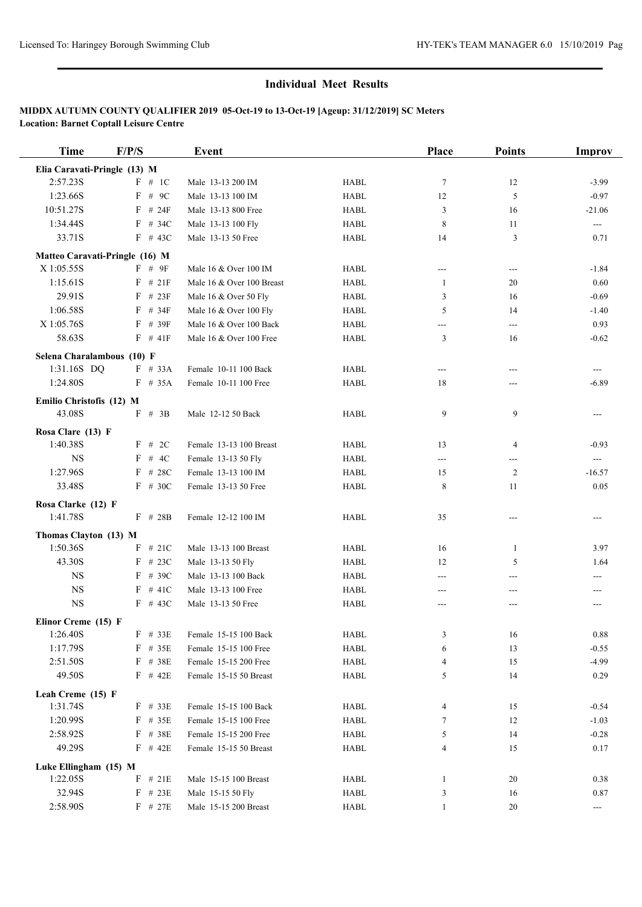| <b>Time</b>                               | F/P/S      | <b>Event</b>              |                                | Place        | <b>Points</b>  | <b>Improv</b>            |
|-------------------------------------------|------------|---------------------------|--------------------------------|--------------|----------------|--------------------------|
| Elia Caravati-Pringle (13) M              |            |                           |                                |              |                |                          |
| 2:57.23S                                  | $F \# 1C$  | Male 13-13 200 IM         | <b>HABL</b>                    | $\tau$       | 12             | $-3.99$                  |
| 1:23.66S                                  | $F$ # 9C   | Male 13-13 100 IM         | <b>HABL</b>                    | 12           | 5              | $-0.97$                  |
| 10:51.27S                                 | $F$ # 24F  | Male 13-13 800 Free       | <b>HABL</b>                    | 3            | 16             | $-21.06$                 |
| 1:34.44S                                  | $F$ # 34C  | Male 13-13 100 Fly        | <b>HABL</b>                    | 8            | 11             | $\hspace{0.05cm} \ldots$ |
| 33.71S                                    | $F$ # 43C  | Male 13-13 50 Free        | <b>HABL</b>                    | 14           | 3              | 0.71                     |
| Matteo Caravati-Pringle (16) M            |            |                           |                                |              |                |                          |
| X 1:05.55S                                | F # 9F     | Male 16 & Over 100 IM     | HABL                           | ---          | ---            | $-1.84$                  |
| 1:15.61S                                  | $F \# 21F$ | Male 16 & Over 100 Breast | <b>HABL</b>                    | 1            | 20             | 0.60                     |
| 29.91S                                    | $F$ # 23F  | Male 16 & Over 50 Fly     | <b>HABL</b>                    | 3            | 16             | $-0.69$                  |
| 1:06.58S                                  | $F$ # 34F  | Male 16 & Over 100 Fly    | <b>HABL</b>                    | 5            | 14             | $-1.40$                  |
| X 1:05.76S                                | $F$ # 39F  | Male 16 & Over 100 Back   | <b>HABL</b>                    | ---          | ---            | 0.93                     |
| 58.63S                                    | $F$ # 41F  | Male 16 & Over 100 Free   | <b>HABL</b>                    | 3            | 16             | $-0.62$                  |
|                                           |            |                           |                                |              |                |                          |
| Selena Charalambous (10) F<br>1:31.16S DQ | $F$ # 33A  | Female 10-11 100 Back     | <b>HABL</b>                    | ---          | ---            | ---                      |
| 1:24.80S                                  | $F$ # 35A  | Female 10-11 100 Free     | <b>HABL</b>                    | 18           | ---            | $-6.89$                  |
|                                           |            |                           |                                |              |                |                          |
| Emilio Christofis (12) M                  |            |                           |                                |              |                |                          |
| 43.08S                                    | $F \# 3B$  | Male 12-12 50 Back        | <b>HABL</b>                    | 9            | 9              | ---                      |
| Rosa Clare (13) F                         |            |                           |                                |              |                |                          |
| 1:40.38S                                  | F # 2C     | Female 13-13 100 Breast   | <b>HABL</b>                    | 13           | $\overline{4}$ | $-0.93$                  |
| <b>NS</b>                                 | F # 4C     | Female 13-13 50 Fly       | <b>HABL</b>                    | ---          | ---            | $\overline{\phantom{a}}$ |
| 1:27.96S                                  | $F$ # 28C  | Female 13-13 100 IM       | <b>HABL</b>                    | 15           | 2              | $-16.57$                 |
| 33.48S                                    | $F$ # 30C  | Female 13-13 50 Free      | <b>HABL</b>                    | 8            | 11             | 0.05                     |
| Rosa Clarke (12) F                        |            |                           |                                |              |                |                          |
| 1:41.78S                                  | $F$ # 28B  | Female 12-12 100 IM       | <b>HABL</b>                    | 35           | ---            | ---                      |
| Thomas Clayton (13) M                     |            |                           |                                |              |                |                          |
| 1:50.36S                                  | $F$ # 21C  | Male 13-13 100 Breast     | <b>HABL</b>                    | 16           | 1              | 3.97                     |
| 43.30S                                    | $F$ # 23C  | Male 13-13 50 Fly         | <b>HABL</b>                    | 12           | 5              | 1.64                     |
| <b>NS</b>                                 | $F$ # 39C  | Male 13-13 100 Back       | HABL                           | ---          | ---            | ---                      |
| <b>NS</b>                                 | $F \# 41C$ | Male 13-13 100 Free       | <b>HABL</b>                    | ---          |                |                          |
| $_{\rm NS}$                               | $F$ # 43C  | Male 13-13 50 Free        | ${\rm H}{\bf A}{\bf B}{\bf L}$ | ---          | ---            | $---$                    |
| Elinor Creme (15) F                       |            |                           |                                |              |                |                          |
| 1:26.40S                                  | $F$ # 33E  | Female 15-15 100 Back     | <b>HABL</b>                    | 3            | 16             | 0.88                     |
| 1:17.79S                                  | F # 35E    | Female 15-15 100 Free     | HABL                           | 6            | 13             | $-0.55$                  |
| 2:51.50S                                  | $F$ # 38E  | Female 15-15 200 Free     | HABL                           | 4            | 15             | $-4.99$                  |
| 49.50S                                    | $F$ # 42E  | Female 15-15 50 Breast    | HABL                           | 5            | 14             | 0.29                     |
|                                           |            |                           |                                |              |                |                          |
| Leah Creme (15) F<br>1:31.74S             | $F$ # 33E  | Female 15-15 100 Back     | HABL                           | 4            | 15             | $-0.54$                  |
| 1:20.99S                                  | $F$ # 35E  | Female 15-15 100 Free     | HABL                           | 7            | 12             | $-1.03$                  |
| 2:58.92S                                  | $F$ # 38E  | Female 15-15 200 Free     | HABL                           | 5            | 14             | $-0.28$                  |
| 49.29S                                    | $F$ # 42E  | Female 15-15 50 Breast    | <b>HABL</b>                    | 4            | 15             | 0.17                     |
|                                           |            |                           |                                |              |                |                          |
| Luke Ellingham (15) M                     |            |                           |                                |              |                |                          |
| 1:22.05S                                  | $F$ # 21E  | Male 15-15 100 Breast     | HABL                           | 1            | 20             | 0.38                     |
| 32.94S                                    | $F$ # 23E  | Male 15-15 50 Fly         | HABL                           | 3            | 16             | 0.87                     |
| 2:58.90S                                  | $F$ # 27E  | Male 15-15 200 Breast     | HABL                           | $\mathbf{1}$ | 20             | $\hspace{0.05cm} \ldots$ |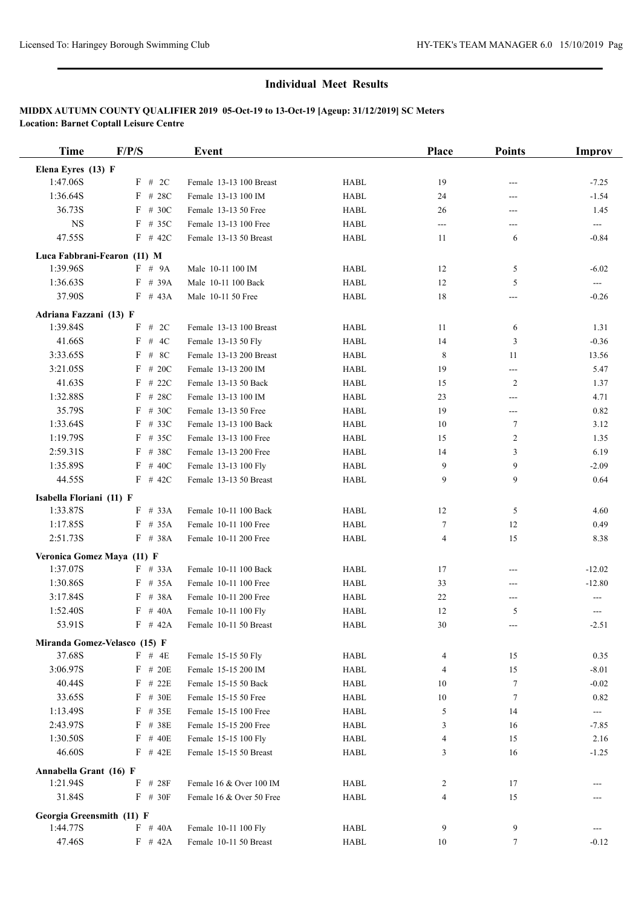| <b>Time</b>                 | F/P/S                        | Event                                          |                            | <b>Place</b>             | <b>Points</b> | Improv                  |
|-----------------------------|------------------------------|------------------------------------------------|----------------------------|--------------------------|---------------|-------------------------|
| Elena Eyres (13) F          |                              |                                                |                            |                          |               |                         |
| 1:47.06S                    | F # 2C                       | Female 13-13 100 Breast                        | <b>HABL</b>                | 19                       | $---$         | $-7.25$                 |
| 1:36.64S                    | $F$ # 28C                    | Female 13-13 100 IM                            | <b>HABL</b>                | 24                       | ---           | $-1.54$                 |
| 36.73S                      | $F$ # 30C                    | Female 13-13 50 Free                           | <b>HABL</b>                | 26                       | ---           | 1.45                    |
| <b>NS</b>                   | $F$ # 35C                    | Female 13-13 100 Free                          | <b>HABL</b>                | ---                      | ---           | $\qquad \qquad -$       |
| 47.55S                      | $F$ # 42C                    | Female 13-13 50 Breast                         | <b>HABL</b>                | 11                       | 6             | $-0.84$                 |
| Luca Fabbrani-Fearon (11) M |                              |                                                |                            |                          |               |                         |
| 1:39.96S                    | $F \# 9A$                    | Male 10-11 100 IM                              | <b>HABL</b>                | 12                       | 5             | $-6.02$                 |
| 1:36.63S                    | $F$ # 39A                    | Male 10-11 100 Back                            | <b>HABL</b>                | 12                       | 5             | ---                     |
| 37.90S                      | $F$ # 43A                    | Male 10-11 50 Free                             | <b>HABL</b>                | 18                       | $---$         | $-0.26$                 |
| Adriana Fazzani (13) F      |                              |                                                |                            |                          |               |                         |
| 1:39.84S                    | # $2C$<br>F                  | Female 13-13 100 Breast                        | <b>HABL</b>                | 11                       | 6             | 1.31                    |
| 41.66S                      | F<br># 4C                    | Female 13-13 50 Fly                            | <b>HABL</b>                | 14                       | 3             | $-0.36$                 |
| 3:33.65S                    | # $8C$<br>F                  | Female 13-13 200 Breast                        | <b>HABL</b>                | 8                        | 11            | 13.56                   |
| 3:21.05S                    | # 20C<br>F                   | Female 13-13 200 IM                            | <b>HABL</b>                | 19                       | ---           | 5.47                    |
| 41.63S                      | # 22 $C$<br>F                | Female 13-13 50 Back                           | <b>HABL</b>                | 15                       | 2             | 1.37                    |
| 1:32.88S                    | $F$ # 28C                    | Female 13-13 100 IM                            | <b>HABL</b>                | 23                       | $---$         | 4.71                    |
| 35.79S                      | $F$ # 30C                    | Female 13-13 50 Free                           | <b>HABL</b>                | 19                       | ---           | 0.82                    |
| 1:33.64S                    | F<br># 33C                   | Female 13-13 100 Back                          | <b>HABL</b>                | 10                       | 7             | 3.12                    |
| 1:19.79S                    | # 35C<br>F                   | Female 13-13 100 Free                          | <b>HABL</b>                | 15                       | 2             | 1.35                    |
| 2:59.31S                    | F<br># 38C                   | Female 13-13 200 Free                          | <b>HABL</b>                | 14                       | 3             | 6.19                    |
| 1:35.89S                    | # $40C$<br>F                 | Female 13-13 100 Fly                           | <b>HABL</b>                | 9                        | 9             | $-2.09$                 |
| 44.55S                      | $F$ # 42C                    | Female 13-13 50 Breast                         | <b>HABL</b>                | 9                        | 9             | 0.64                    |
|                             |                              |                                                |                            |                          |               |                         |
| Isabella Floriani (11) F    | # 33A                        |                                                |                            |                          |               |                         |
| 1:33.87S                    | F<br>F                       | Female 10-11 100 Back                          | <b>HABL</b>                | 12                       | 5             | 4.60                    |
| 1:17.85S<br>2:51.73S        | # 35A<br>$F$ # 38A           | Female 10-11 100 Free<br>Female 10-11 200 Free | <b>HABL</b><br><b>HABL</b> | $\tau$<br>$\overline{4}$ | 12<br>15      | 0.49<br>8.38            |
|                             |                              |                                                |                            |                          |               |                         |
| Veronica Gomez Maya (11) F  |                              |                                                |                            |                          |               |                         |
| 1:37.07S                    | $F$ # 33A                    | Female 10-11 100 Back                          | <b>HABL</b>                | 17                       | ---           | $-12.02$                |
| 1:30.86S                    | $F$ # 35A                    | Female 10-11 100 Free                          | <b>HABL</b>                | 33                       | ---           | $-12.80$                |
| 3:17.84S                    | $F$ # 38A                    | Female 10-11 200 Free                          | <b>HABL</b>                | 22                       | ---           | ---                     |
| 1:52.40S                    | $F$ # 40A                    | Female 10-11 100 Fly                           | <b>HABL</b>                | 12                       | 5             | ---                     |
| 53.91S                      | $F$ # 42A                    | Female 10-11 50 Breast                         | HABL                       | 30                       |               | $-2.51$                 |
|                             | Miranda Gomez-Velasco (15) F |                                                |                            |                          |               |                         |
| 37.68S                      | $F$ # 4E                     | Female 15-15 50 Fly                            | HABL                       | $\overline{4}$           | 15            | 0.35                    |
| 3:06.97S                    | $F$ # 20E                    | Female 15-15 200 IM                            | <b>HABL</b>                | 4                        | 15            | $-8.01$                 |
| 40.44S                      | $F$ # 22E                    | Female 15-15 50 Back                           | <b>HABL</b>                | 10                       | 7             | $-0.02$                 |
| 33.65S                      | $F$ # 30E                    | Female 15-15 50 Free                           | <b>HABL</b>                | 10                       | 7             | 0.82                    |
| 1:13.49S                    | $F$ # 35E                    | Female 15-15 100 Free                          | <b>HABL</b>                | 5                        | 14            | $\qquad \qquad -\qquad$ |
| 2:43.97S                    | $F$ # 38E                    | Female 15-15 200 Free                          | <b>HABL</b>                | 3                        | 16            | $-7.85$                 |
| 1:30.50S                    | $F$ # 40E                    | Female 15-15 100 Fly                           | HABL                       | 4                        | 15            | 2.16                    |
| 46.60S                      | $F$ # 42E                    | Female 15-15 50 Breast                         | <b>HABL</b>                | 3                        | 16            | $-1.25$                 |
| Annabella Grant (16) F      |                              |                                                |                            |                          |               |                         |
| 1:21.94S                    | $F$ # 28F                    | Female 16 & Over 100 IM                        | HABL                       | 2                        | 17            |                         |
| 31.84S                      | $F \# 30F$                   | Female 16 & Over 50 Free                       | <b>HABL</b>                | 4                        | 15            |                         |
| Georgia Greensmith (11) F   |                              |                                                |                            |                          |               |                         |
| 1:44.77S                    | $F$ # 40A                    | Female 10-11 100 Fly                           | HABL                       | 9                        | 9             |                         |
| 47.46S                      | $F$ # 42A                    | Female 10-11 50 Breast                         | <b>HABL</b>                | 10                       | $\tau$        | $-0.12$                 |
|                             |                              |                                                |                            |                          |               |                         |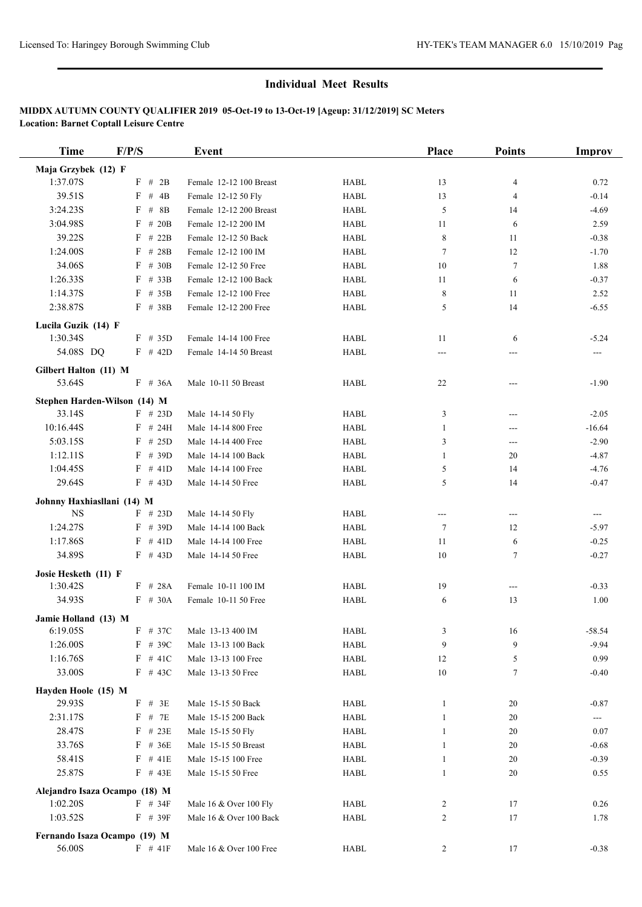| <b>Time</b>                   | F/P/S                               | Event                   |             | Place          | <b>Points</b>              | Improv   |
|-------------------------------|-------------------------------------|-------------------------|-------------|----------------|----------------------------|----------|
| Maja Grzybek (12) F           |                                     |                         |             |                |                            |          |
| 1:37.07S                      | F # 2B                              | Female 12-12 100 Breast | <b>HABL</b> | 13             | 4                          | 0.72     |
| 39.51S                        | $\boldsymbol{\mathrm{F}}$<br># $4B$ | Female 12-12 50 Fly     | <b>HABL</b> | 13             | 4                          | $-0.14$  |
| 3:24.23S                      | $F$ # 8B                            | Female 12-12 200 Breast | <b>HABL</b> | 5              | 14                         | $-4.69$  |
| 3:04.98S                      | F<br># 20 $B$                       | Female 12-12 200 IM     | <b>HABL</b> | 11             | 6                          | 2.59     |
| 39.22S                        | F<br># 22B                          | Female 12-12 50 Back    | <b>HABL</b> | $\,8\,$        | 11                         | $-0.38$  |
| 1:24.00S                      | F<br>#28B                           | Female 12-12 100 IM     | <b>HABL</b> | $\tau$         | 12                         | $-1.70$  |
| 34.06S                        | F<br># $30B$                        | Female 12-12 50 Free    | <b>HABL</b> | 10             | $\tau$                     | 1.88     |
| 1:26.33S                      | # 33B<br>F                          | Female 12-12 100 Back   | <b>HABL</b> | 11             | 6                          | $-0.37$  |
| 1:14.37S                      | $F$ # 35B                           | Female 12-12 100 Free   | <b>HABL</b> | 8              | 11                         | 2.52     |
| 2:38.87S                      | F # 38B                             | Female 12-12 200 Free   | <b>HABL</b> | 5              | 14                         | $-6.55$  |
| Lucila Guzik (14) F           |                                     |                         |             |                |                            |          |
| 1:30.34S                      | $F$ # 35D                           | Female 14-14 100 Free   | <b>HABL</b> | 11             | 6                          | $-5.24$  |
| 54.08S DQ                     | $F$ # 42D                           | Female 14-14 50 Breast  | <b>HABL</b> | ---            |                            |          |
| Gilbert Halton (11) M         |                                     |                         |             |                |                            |          |
| 53.64S                        | F<br>#36A                           | Male 10-11 50 Breast    | <b>HABL</b> | 22             | $---$                      | $-1.90$  |
| Stephen Harden-Wilson (14) M  |                                     |                         |             |                |                            |          |
| 33.14S                        | $F$ # 23D                           | Male 14-14 50 Fly       | <b>HABL</b> | 3              | ---                        | $-2.05$  |
| 10:16.44S                     | $F$ # 24H                           | Male 14-14 800 Free     | <b>HABL</b> | 1              | ---                        | $-16.64$ |
| 5:03.15S                      | $F$ # 25D                           | Male 14-14 400 Free     | <b>HABL</b> | 3              | ---                        | $-2.90$  |
| 1:12.11S                      | $F$ # 39D                           | Male 14-14 100 Back     | <b>HABL</b> | $\mathbf{1}$   | 20                         | $-4.87$  |
| 1:04.45S                      | $F$ # 41D                           | Male 14-14 100 Free     | <b>HABL</b> | 5              | 14                         | $-4.76$  |
| 29.64S                        | $F$ # 43D                           | Male 14-14 50 Free      | <b>HABL</b> | 5              | 14                         | $-0.47$  |
| Johnny Haxhiasllani (14) M    |                                     |                         |             |                |                            |          |
| <b>NS</b>                     | $F$ # 23D                           | Male 14-14 50 Fly       | <b>HABL</b> | ---            | $\qquad \qquad \text{---}$ | ---      |
| 1:24.27S                      | $F$ # 39D                           | Male 14-14 100 Back     | <b>HABL</b> | $\overline{7}$ | 12                         | $-5.97$  |
| 1:17.86S                      | $F$ # 41D                           | Male 14-14 100 Free     | <b>HABL</b> | 11             | 6                          | $-0.25$  |
| 34.89S                        | $F$ # 43D                           | Male 14-14 50 Free      | <b>HABL</b> | 10             | $\tau$                     | $-0.27$  |
| Josie Hesketh (11) F          |                                     |                         |             |                |                            |          |
| 1:30.42S                      | $F$ # 28A                           | Female 10-11 100 IM     | <b>HABL</b> | 19             | $---$                      | $-0.33$  |
| 34.93S                        | $F \# 30A$                          | Female 10-11 50 Free    | <b>HABL</b> | 6              | 13                         | 1.00     |
| Jamie Holland (13) M          |                                     |                         |             |                |                            |          |
| 6:19.05S                      | F # 37C                             | Male 13-13 400 IM       | <b>HABL</b> | 3              | 16                         | $-58.54$ |
| 1:26.00S                      | $F$ # 39C                           | Male 13-13 100 Back     | HABL        | 9              | 9                          | $-9.94$  |
| 1:16.76S                      | $F$ # 41C                           | Male 13-13 100 Free     | <b>HABL</b> | 12             | 5                          | 0.99     |
| 33.00S                        | $F$ # 43C                           | Male 13-13 50 Free      | HABL        | 10             | 7                          | $-0.40$  |
| Hayden Hoole (15) M           |                                     |                         |             |                |                            |          |
| 29.93S                        | $F$ # 3E                            | Male 15-15 50 Back      | <b>HABL</b> | 1              | 20                         | $-0.87$  |
| 2:31.17S                      | $F$ # 7E                            | Male 15-15 200 Back     | HABL        | 1              | 20                         | ---      |
| 28.47S                        | $F$ # 23E                           | Male 15-15 50 Fly       | HABL        | 1              | 20                         | 0.07     |
| 33.76S                        | F<br># 36E                          | Male 15-15 50 Breast    | HABL        | 1              | 20                         | $-0.68$  |
| 58.41S                        | $F$ # 41E                           | Male 15-15 100 Free     | <b>HABL</b> | 1              | 20                         | $-0.39$  |
| 25.87S                        | $F$ # 43E                           | Male 15-15 50 Free      | HABL        | $\mathbf{1}$   | 20                         | 0.55     |
| Alejandro Isaza Ocampo (18) M |                                     |                         |             |                |                            |          |
| 1:02.20S                      | F # 34F                             | Male 16 & Over 100 Fly  | HABL        | 2              | 17                         | 0.26     |
| 1:03.52S                      | $F$ # 39F                           | Male 16 & Over 100 Back | <b>HABL</b> | 2              | 17                         | 1.78     |
| Fernando Isaza Ocampo (19) M  |                                     |                         |             |                |                            |          |
| 56.00S                        | $F$ # 41F                           | Male 16 & Over 100 Free | HABL        | $\overline{c}$ | 17                         | $-0.38$  |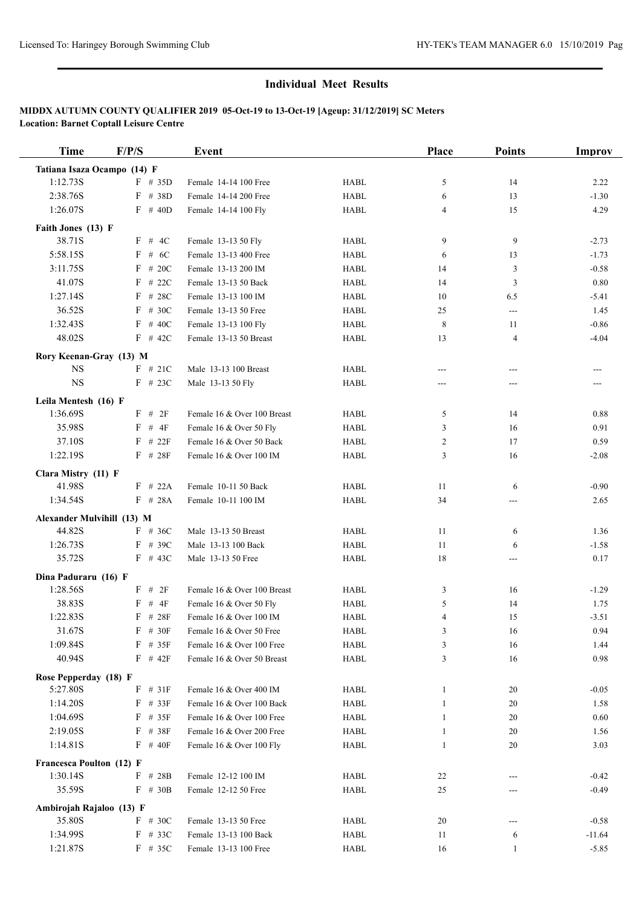| <b>Time</b>                        | F/P/S        | Event                                               |             | <b>Place</b>   | <b>Points</b>     | <b>Improv</b> |
|------------------------------------|--------------|-----------------------------------------------------|-------------|----------------|-------------------|---------------|
| Tatiana Isaza Ocampo (14) F        |              |                                                     |             |                |                   |               |
| 1:12.73S                           | $F$ # 35D    | Female 14-14 100 Free                               | <b>HABL</b> | 5              | 14                | 2.22          |
| 2:38.76S                           | F # 38D      | Female 14-14 200 Free                               | <b>HABL</b> | 6              | 13                | $-1.30$       |
| 1:26.07S                           | $F$ # 40D    | Female 14-14 100 Fly                                | <b>HABL</b> | $\overline{4}$ | 15                | 4.29          |
| Faith Jones (13) F                 |              |                                                     |             |                |                   |               |
| 38.71S                             | F # 4C       | Female 13-13 50 Fly                                 | <b>HABL</b> | 9              | 9                 | $-2.73$       |
| 5:58.15S                           | $F$ # 6C     | Female 13-13 400 Free                               | <b>HABL</b> | 6              | 13                | $-1.73$       |
| 3:11.75S                           | $F$ # 20C    | Female 13-13 200 IM                                 | <b>HABL</b> | 14             | $\overline{3}$    | $-0.58$       |
| 41.07S                             | $F$ # 22C    | Female 13-13 50 Back                                | <b>HABL</b> | 14             | $\overline{3}$    | $0.80\,$      |
| 1:27.14S                           | $F$ # 28C    | Female 13-13 100 IM                                 | <b>HABL</b> | 10             | 6.5               | $-5.41$       |
| 36.52S                             | $F$ # 30C    | Female 13-13 50 Free                                | <b>HABL</b> | 25             | ---               | 1.45          |
| 1:32.43S                           | $F$ # 40C    | Female 13-13 100 Fly                                | <b>HABL</b> | 8              | 11                | $-0.86$       |
| 48.02S                             | $F$ # 42C    | Female 13-13 50 Breast                              | <b>HABL</b> | 13             | $\overline{4}$    | $-4.04$       |
| Rory Keenan-Gray (13) M            |              |                                                     |             |                |                   |               |
| <b>NS</b>                          | $F$ # 21C    | Male 13-13 100 Breast                               | <b>HABL</b> | $---$          | $---$             | ---           |
| <b>NS</b>                          | $F$ # 23C    | Male 13-13 50 Fly                                   | <b>HABL</b> | ---            | ---               |               |
|                                    |              |                                                     |             |                |                   |               |
| Leila Mentesh (16) F               |              |                                                     |             |                |                   |               |
| 1:36.69S                           | $F$ # 2F     | Female 16 & Over 100 Breast                         | <b>HABL</b> | 5              | 14                | 0.88          |
| 35.98S                             | $F$ # $4F$   | Female 16 & Over 50 Fly<br>Female 16 & Over 50 Back | <b>HABL</b> | 3              | 16                | 0.91          |
| 37.10S                             | $F$ # 22 $F$ |                                                     | <b>HABL</b> | $\overline{c}$ | 17                | 0.59          |
| 1:22.19S                           | $F$ # 28F    | Female 16 & Over 100 IM                             | <b>HABL</b> | 3              | 16                | $-2.08$       |
| Clara Mistry (11) F                |              |                                                     |             |                |                   |               |
| 41.98S                             | $F$ # 22A    | Female 10-11 50 Back                                | <b>HABL</b> | 11             | 6                 | $-0.90$       |
| 1:34.54S                           | $F$ # 28A    | Female 10-11 100 IM                                 | <b>HABL</b> | 34             | ---               | 2.65          |
| Alexander Mulvihill (13) M         |              |                                                     |             |                |                   |               |
| 44.82S                             | $F$ # 36C    | Male 13-13 50 Breast                                | <b>HABL</b> | 11             | 6                 | 1.36          |
| 1:26.73S                           | $F$ # 39C    | Male 13-13 100 Back                                 | <b>HABL</b> | 11             | 6                 | $-1.58$       |
| 35.72S                             | $F$ # 43C    | Male 13-13 50 Free                                  | <b>HABL</b> | 18             | ---               | 0.17          |
| Dina Paduraru (16) F               |              |                                                     |             |                |                   |               |
| 1:28.56S                           | $F$ # 2F     | Female 16 & Over 100 Breast                         | <b>HABL</b> | 3              | 16                | $-1.29$       |
| 38.83S                             | # $4F$<br>F  | Female 16 & Over 50 Fly                             | <b>HABL</b> | 5              | 14                | 1.75          |
| 1:22.83S                           | $F$ # 28F    | Female 16 & Over 100 IM                             | <b>HABL</b> | $\overline{4}$ | 15                | $-3.51$       |
| 31.67S                             | $F$ # 30F    | Female 16 & Over 50 Free                            | <b>HABL</b> | $\mathfrak z$  | 16                | 0.94          |
| 1:09.84S                           | $F$ # 35F    | Female 16 & Over 100 Free                           | <b>HABL</b> | 3              | 16                | 1.44          |
| 40.94S                             | $F$ # 42 $F$ | Female 16 & Over 50 Breast                          | <b>HABL</b> | 3              | 16                | 0.98          |
| Rose Pepperday (18) F              |              |                                                     |             |                |                   |               |
| 5:27.80S                           | $F$ # 31F    | Female 16 & Over 400 IM                             | <b>HABL</b> | 1              | 20                | $-0.05$       |
| 1:14.20S                           | $F$ # 33F    | Female 16 & Over 100 Back                           | <b>HABL</b> | 1              | 20                | 1.58          |
| 1:04.69S                           | $F$ # 35F    | Female 16 & Over 100 Free                           | <b>HABL</b> | 1              | 20                | 0.60          |
| 2:19.05S                           | $F$ # 38F    | Female 16 & Over 200 Free                           | <b>HABL</b> | 1              | 20                | 1.56          |
| 1:14.81S                           | $F$ # 40F    | Female 16 & Over 100 Fly                            | HABL        | 1              | 20                | 3.03          |
| Francesca Poulton (12) F           |              |                                                     |             |                |                   |               |
| 1:30.14S                           | F<br>#28B    | Female 12-12 100 IM                                 | <b>HABL</b> | 22             | ---               | $-0.42$       |
| 35.59S                             | $F$ # 30B    | Female 12-12 50 Free                                | <b>HABL</b> | 25             |                   | $-0.49$       |
|                                    |              |                                                     |             |                |                   |               |
| Ambirojah Rajaloo (13) F<br>35.80S | $F$ # 30C    | Female 13-13 50 Free                                | <b>HABL</b> | 20             |                   | $-0.58$       |
| 1:34.99S                           | $F$ # 33C    | Female 13-13 100 Back                               | <b>HABL</b> | 11             |                   | $-11.64$      |
| 1:21.87S                           | $F$ # 35C    | Female 13-13 100 Free                               | HABL        | 16             | 6<br>$\mathbf{1}$ | $-5.85$       |
|                                    |              |                                                     |             |                |                   |               |